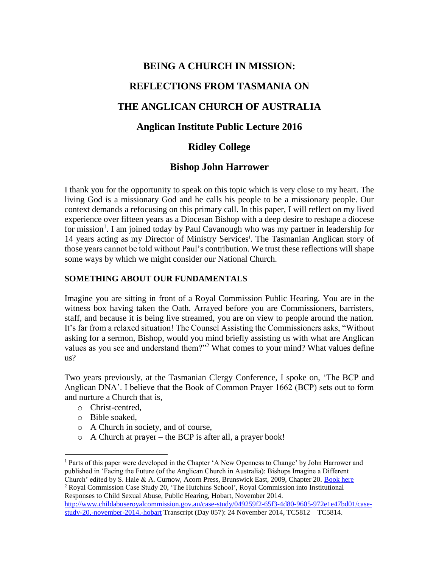# **BEING A CHURCH IN MISSION: REFLECTIONS FROM TASMANIA ON THE ANGLICAN CHURCH OF AUSTRALIA Anglican Institute Public Lecture 2016**

# **Ridley College**

## **Bishop John Harrower**

I thank you for the opportunity to speak on this topic which is very close to my heart. The living God is a missionary God and he calls his people to be a missionary people. Our context demands a refocusing on this primary call. In this paper, I will reflect on my lived experience over fifteen years as a Diocesan Bishop with a deep desire to reshape a diocese for mission<sup>1</sup>. I am joined today by Paul Cavanough who was my partner in leadership for 14 years acting as my Director of Ministry Services<sup>i</sup>. The Tasmanian Anglican story of those years cannot be told without Paul's contribution. We trust these reflections will shape some ways by which we might consider our National Church.

## **SOMETHING ABOUT OUR FUNDAMENTALS**

Imagine you are sitting in front of a Royal Commission Public Hearing. You are in the witness box having taken the Oath. Arrayed before you are Commissioners, barristers, staff, and because it is being live streamed, you are on view to people around the nation. It's far from a relaxed situation! The Counsel Assisting the Commissioners asks, "Without asking for a sermon, Bishop, would you mind briefly assisting us with what are Anglican values as you see and understand them?"<sup>2</sup> What comes to your mind? What values define us?

Two years previously, at the Tasmanian Clergy Conference, I spoke on, 'The BCP and Anglican DNA'. I believe that the Book of Common Prayer 1662 (BCP) sets out to form and nurture a Church that is,

- o Christ-centred,
- o Bible soaked,
- o A Church in society, and of course,
- o A Church at prayer the BCP is after all, a prayer book!

 $\overline{a}$ <sup>1</sup> Parts of this paper were developed in the Chapter 'A New Openness to Change' by John Harrower and published in 'Facing the Future (of the Anglican Church in Australia): Bishops Imagine a Different Church' edited by S. Hale & A. Curnow, Acorn Press, Brunswick East, 2009, Chapter 20. [Book here](http://acornpress.net.au/publications/facing-the-future-bishops-imagine-a-different-church/)

<sup>2</sup> Royal Commission Case Study 20, 'The Hutchins School', Royal Commission into Institutional Responses to Child Sexual Abuse, Public Hearing, Hobart, November 2014.

[http://www.childabuseroyalcommission.gov.au/case-study/049259f2-65f3-4d80-9605-972e1e47bd01/case](http://www.childabuseroyalcommission.gov.au/case-study/049259f2-65f3-4d80-9605-972e1e47bd01/case-study-20,-november-2014,-hobart)[study-20,-november-2014,-hobart](http://www.childabuseroyalcommission.gov.au/case-study/049259f2-65f3-4d80-9605-972e1e47bd01/case-study-20,-november-2014,-hobart) Transcript (Day 057): 24 November 2014, TC5812 – TC5814.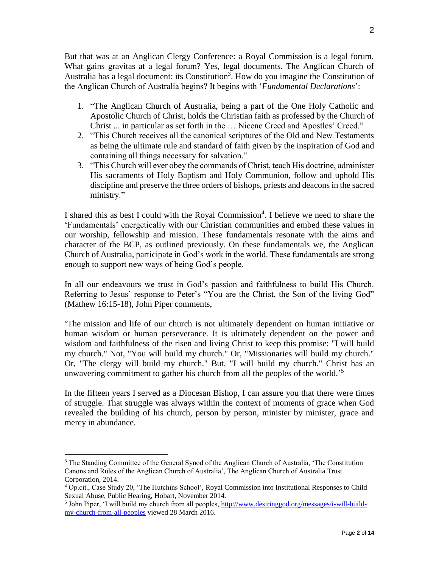But that was at an Anglican Clergy Conference: a Royal Commission is a legal forum. What gains gravitas at a legal forum? Yes, legal documents. The Anglican Church of Australia has a legal document: its Constitution<sup>3</sup>. How do you imagine the Constitution of the Anglican Church of Australia begins? It begins with '*Fundamental Declarations*':

- 1. "The Anglican Church of Australia, being a part of the One Holy Catholic and Apostolic Church of Christ, holds the Christian faith as professed by the Church of Christ ... in particular as set forth in the … Nicene Creed and Apostles' Creed."
- 2. "This Church receives all the canonical scriptures of the Old and New Testaments as being the ultimate rule and standard of faith given by the inspiration of God and containing all things necessary for salvation."
- 3. "This Church will ever obey the commands of Christ, teach His doctrine, administer His sacraments of Holy Baptism and Holy Communion, follow and uphold His discipline and preserve the three orders of bishops, priests and deacons in the sacred ministry."

I shared this as best I could with the Royal Commission<sup>4</sup>. I believe we need to share the 'Fundamentals' energetically with our Christian communities and embed these values in our worship, fellowship and mission. These fundamentals resonate with the aims and character of the BCP, as outlined previously. On these fundamentals we, the Anglican Church of Australia, participate in God's work in the world. These fundamentals are strong enough to support new ways of being God's people.

In all our endeavours we trust in God's passion and faithfulness to build His Church. Referring to Jesus' response to Peter's "You are the Christ, the Son of the living God" (Mathew 16:15-18), John Piper comments,

'The mission and life of our church is not ultimately dependent on human initiative or human wisdom or human perseverance. It is ultimately dependent on the power and wisdom and faithfulness of the risen and living Christ to keep this promise: "I will build my church." Not, "You will build my church." Or, "Missionaries will build my church." Or, "The clergy will build my church." But, "I will build my church." Christ has an unwavering commitment to gather his church from all the peoples of the world.<sup>5</sup>

In the fifteen years I served as a Diocesan Bishop, I can assure you that there were times of struggle. That struggle was always within the context of moments of grace when God revealed the building of his church, person by person, minister by minister, grace and mercy in abundance.

 $3$  The Standing Committee of the General Synod of the Anglican Church of Australia, 'The Constitution Canons and Rules of the Anglican Church of Australia', The Anglican Church of Australia Trust Corporation, 2014.

<sup>4</sup> Op.cit., Case Study 20, 'The Hutchins School', Royal Commission into Institutional Responses to Child Sexual Abuse, Public Hearing, Hobart, November 2014.

<sup>&</sup>lt;sup>5</sup> John Piper, 'I will build my church from all peoples, [http://www.desiringgod.org/messages/i-will-build](http://www.desiringgod.org/messages/i-will-build-my-church-from-all-peoples)[my-church-from-all-peoples](http://www.desiringgod.org/messages/i-will-build-my-church-from-all-peoples) viewed 28 March 2016.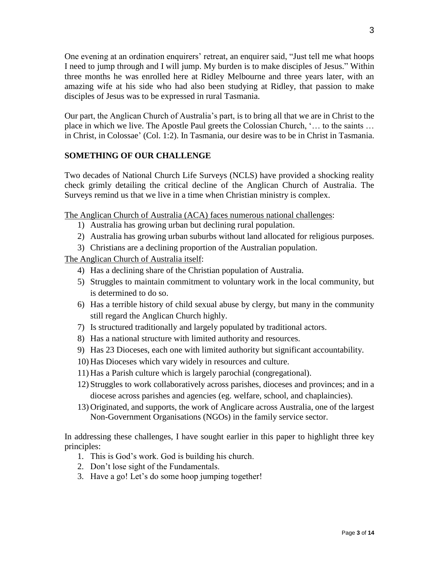One evening at an ordination enquirers' retreat, an enquirer said, "Just tell me what hoops I need to jump through and I will jump. My burden is to make disciples of Jesus." Within three months he was enrolled here at Ridley Melbourne and three years later, with an amazing wife at his side who had also been studying at Ridley, that passion to make disciples of Jesus was to be expressed in rural Tasmania.

Our part, the Anglican Church of Australia's part, is to bring all that we are in Christ to the place in which we live. The Apostle Paul greets the Colossian Church, '… to the saints … in Christ, in Colossae' (Col. 1:2). In Tasmania, our desire was to be in Christ in Tasmania.

## **SOMETHING OF OUR CHALLENGE**

Two decades of National Church Life Surveys (NCLS) have provided a shocking reality check grimly detailing the critical decline of the Anglican Church of Australia. The Surveys remind us that we live in a time when Christian ministry is complex.

The Anglican Church of Australia (ACA) faces numerous national challenges:

- 1) Australia has growing urban but declining rural population.
- 2) Australia has growing urban suburbs without land allocated for religious purposes.
- 3) Christians are a declining proportion of the Australian population.

The Anglican Church of Australia itself:

- 4) Has a declining share of the Christian population of Australia.
- 5) Struggles to maintain commitment to voluntary work in the local community, but is determined to do so.
- 6) Has a terrible history of child sexual abuse by clergy, but many in the community still regard the Anglican Church highly.
- 7) Is structured traditionally and largely populated by traditional actors.
- 8) Has a national structure with limited authority and resources.
- 9) Has 23 Dioceses, each one with limited authority but significant accountability.
- 10) Has Dioceses which vary widely in resources and culture.
- 11) Has a Parish culture which is largely parochial (congregational).
- 12) Struggles to work collaboratively across parishes, dioceses and provinces; and in a diocese across parishes and agencies (eg. welfare, school, and chaplaincies).
- 13) Originated, and supports, the work of Anglicare across Australia, one of the largest Non-Government Organisations (NGOs) in the family service sector.

In addressing these challenges, I have sought earlier in this paper to highlight three key principles:

- 1. This is God's work. God is building his church.
- 2. Don't lose sight of the Fundamentals.
- 3. Have a go! Let's do some hoop jumping together!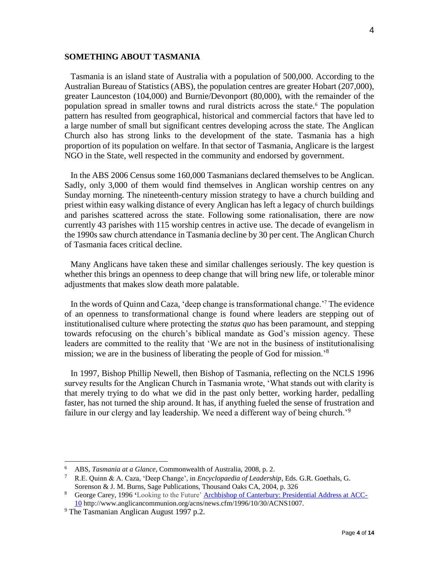#### **SOMETHING ABOUT TASMANIA**

Tasmania is an island state of Australia with a population of 500,000. According to the Australian Bureau of Statistics (ABS), the population centres are greater Hobart (207,000), greater Launceston (104,000) and Burnie/Devonport (80,000), with the remainder of the population spread in smaller towns and rural districts across the state.<sup>6</sup> The population pattern has resulted from geographical, historical and commercial factors that have led to a large number of small but significant centres developing across the state. The Anglican Church also has strong links to the development of the state. Tasmania has a high proportion of its population on welfare. In that sector of Tasmania, Anglicare is the largest NGO in the State, well respected in the community and endorsed by government.

In the ABS 2006 Census some 160,000 Tasmanians declared themselves to be Anglican. Sadly, only 3,000 of them would find themselves in Anglican worship centres on any Sunday morning. The nineteenth-century mission strategy to have a church building and priest within easy walking distance of every Anglican has left a legacy of church buildings and parishes scattered across the state. Following some rationalisation, there are now currently 43 parishes with 115 worship centres in active use. The decade of evangelism in the 1990s saw church attendance in Tasmania decline by 30 per cent. The Anglican Church of Tasmania faces critical decline.

Many Anglicans have taken these and similar challenges seriously. The key question is whether this brings an openness to deep change that will bring new life, or tolerable minor adjustments that makes slow death more palatable.

In the words of Quinn and Caza, 'deep change is transformational change.'<sup>7</sup> The evidence of an openness to transformational change is found where leaders are stepping out of institutionalised culture where protecting the *status quo* has been paramount, and stepping towards refocusing on the church's biblical mandate as God's mission agency. These leaders are committed to the reality that 'We are not in the business of institutionalising mission; we are in the business of liberating the people of God for mission.<sup>8</sup>

In 1997, Bishop Phillip Newell, then Bishop of Tasmania, reflecting on the NCLS 1996 survey results for the Anglican Church in Tasmania wrote, 'What stands out with clarity is that merely trying to do what we did in the past only better, working harder, pedalling faster, has not turned the ship around. It has, if anything fueled the sense of frustration and failure in our clergy and lay leadership. We need a different way of being church.<sup>'9</sup>

<sup>&</sup>lt;sup>6</sup> ABS, *Tasmania at a Glance*, Commonwealth of Australia, 2008, p. 2.<br><sup>7</sup> R E Quinn & A Caza 'Deen Change' in *Encyclonaedia of Leadersh* 

<sup>7</sup> R.E. Quinn & A. Caza, 'Deep Change', in *Encyclopaedia of Leadership*, Eds. G.R. Goethals, G. Sorenson & J. M. Burns, Sage Publications, Thousand Oaks CA, 2004, p. 326

<sup>8</sup> George Carey, 1996 **'**Looking to the Future' [Archbishop of Canterbury: Presidential Address at ACC-](http://www.anglicancommunion.org/acns/news.cfm/1996/10/30/ACNS1007)[10](http://www.anglicancommunion.org/acns/news.cfm/1996/10/30/ACNS1007) http://www.anglicancommunion.org/acns/news.cfm/1996/10/30/ACNS1007.

<sup>&</sup>lt;sup>9</sup> The Tasmanian Anglican August 1997 p.2.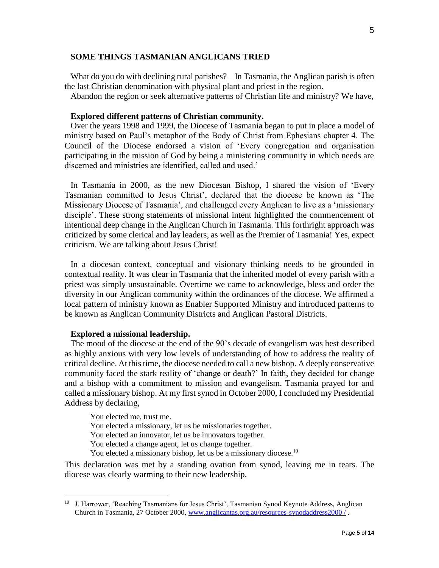#### **SOME THINGS TASMANIAN ANGLICANS TRIED**

What do you do with declining rural parishes? – In Tasmania, the Anglican parish is often the last Christian denomination with physical plant and priest in the region.

Abandon the region or seek alternative patterns of Christian life and ministry? We have,

#### **Explored different patterns of Christian community.**

Over the years 1998 and 1999, the Diocese of Tasmania began to put in place a model of ministry based on Paul's metaphor of the Body of Christ from Ephesians chapter 4. The Council of the Diocese endorsed a vision of 'Every congregation and organisation participating in the mission of God by being a ministering community in which needs are discerned and ministries are identified, called and used.'

In Tasmania in 2000, as the new Diocesan Bishop, I shared the vision of 'Every Tasmanian committed to Jesus Christ', declared that the diocese be known as 'The Missionary Diocese of Tasmania', and challenged every Anglican to live as a 'missionary disciple'. These strong statements of missional intent highlighted the commencement of intentional deep change in the Anglican Church in Tasmania. This forthright approach was criticized by some clerical and lay leaders, as well as the Premier of Tasmania! Yes, expect criticism. We are talking about Jesus Christ!

In a diocesan context, conceptual and visionary thinking needs to be grounded in contextual reality. It was clear in Tasmania that the inherited model of every parish with a priest was simply unsustainable. Overtime we came to acknowledge, bless and order the diversity in our Anglican community within the ordinances of the diocese. We affirmed a local pattern of ministry known as Enabler Supported Ministry and introduced patterns to be known as Anglican Community Districts and Anglican Pastoral Districts.

#### **Explored a missional leadership.**

 $\overline{a}$ 

The mood of the diocese at the end of the 90's decade of evangelism was best described as highly anxious with very low levels of understanding of how to address the reality of critical decline. At this time, the diocese needed to call a new bishop. A deeply conservative community faced the stark reality of 'change or death?' In faith, they decided for change and a bishop with a commitment to mission and evangelism. Tasmania prayed for and called a missionary bishop. At my first synod in October 2000, I concluded my Presidential Address by declaring,

You elected me, trust me. You elected a missionary, let us be missionaries together. You elected an innovator, let us be innovators together. You elected a change agent, let us change together. You elected a missionary bishop, let us be a missionary diocese.<sup>10</sup>

This declaration was met by a standing ovation from synod, leaving me in tears. The diocese was clearly warming to their new leadership.

<sup>&</sup>lt;sup>10</sup> J. Harrower, 'Reaching Tasmanians for Jesus Christ', Tasmanian Synod Keynote Address, Anglican Church in Tasmania, 27 October 2000, [www.anglicantas.org.au/resources-synodaddress2000 /](http://www.anglicantas.org.au/resources-synodaddress2000%20/)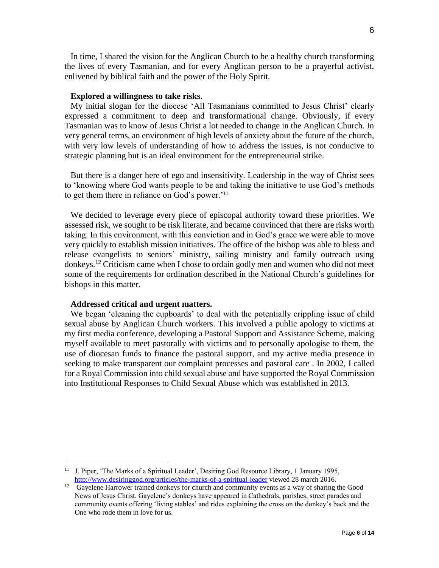In time, I shared the vision for the Anglican Church to be a healthy church transforming the lives of every Tasmanian, and for every Anglican person to be a prayerful activist, enlivened by biblical faith and the power of the Holy Spirit.

#### **Explored a willingness to take risks.**

My initial slogan for the diocese 'All Tasmanians committed to Jesus Christ' clearly expressed a commitment to deep and transformational change. Obviously, if every Tasmanian was to know of Jesus Christ a lot needed to change in the Anglican Church. In very general terms, an environment of high levels of anxiety about the future of the church, with very low levels of understanding of how to address the issues, is not conducive to strategic planning but is an ideal environment for the entrepreneurial strike.

But there is a danger here of ego and insensitivity. Leadership in the way of Christ sees to 'knowing where God wants people to be and taking the initiative to use God's methods to get them there in reliance on God's power.'<sup>11</sup>

We decided to leverage every piece of episcopal authority toward these priorities. We assessed risk, we sought to be risk literate, and became convinced that there are risks worth taking. In this environment, with this conviction and in God's grace we were able to move very quickly to establish mission initiatives. The office of the bishop was able to bless and release evangelists to seniors' ministry, sailing ministry and family outreach using donkeys.<sup>12</sup> Criticism came when I chose to ordain godly men and women who did not meet some of the requirements for ordination described in the National Church's guidelines for bishops in this matter.

#### **Addressed critical and urgent matters.**

 $\overline{a}$ 

We began 'cleaning the cupboards' to deal with the potentially crippling issue of child sexual abuse by Anglican Church workers. This involved a public apology to victims at my first media conference, developing a Pastoral Support and Assistance Scheme, making myself available to meet pastorally with victims and to personally apologise to them, the use of diocesan funds to finance the pastoral support, and my active media presence in seeking to make transparent our complaint processes and pastoral care . In 2002, I called for a Royal Commission into child sexual abuse and have supported the Royal Commission into Institutional Responses to Child Sexual Abuse which was established in 2013.

<sup>&</sup>lt;sup>11</sup> J. Piper, 'The Marks of a Spiritual Leader', Desiring God Resource Library, 1 January 1995, <http://www.desiringgod.org/articles/the-marks-of-a-spiritual-leader> viewed 28 march 2016.

<sup>&</sup>lt;sup>12</sup> Gayelene Harrower trained donkeys for church and community events as a way of sharing the Good News of Jesus Christ. Gayelene's donkeys have appeared in Cathedrals, parishes, street parades and community events offering 'living stables' and rides explaining the cross on the donkey's back and the One who rode them in love for us.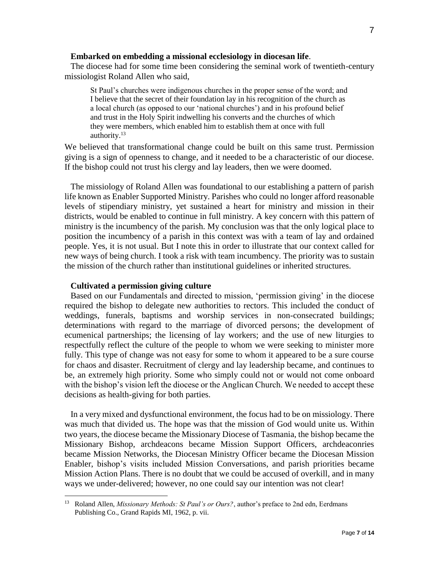#### **Embarked on embedding a missional ecclesiology in diocesan life**.

The diocese had for some time been considering the seminal work of twentieth-century missiologist Roland Allen who said,

St Paul's churches were indigenous churches in the proper sense of the word; and I believe that the secret of their foundation lay in his recognition of the church as a local church (as opposed to our 'national churches') and in his profound belief and trust in the Holy Spirit indwelling his converts and the churches of which they were members, which enabled him to establish them at once with full authority.<sup>13</sup>

We believed that transformational change could be built on this same trust. Permission giving is a sign of openness to change, and it needed to be a characteristic of our diocese. If the bishop could not trust his clergy and lay leaders, then we were doomed.

The missiology of Roland Allen was foundational to our establishing a pattern of parish life known as Enabler Supported Ministry. Parishes who could no longer afford reasonable levels of stipendiary ministry, yet sustained a heart for ministry and mission in their districts, would be enabled to continue in full ministry. A key concern with this pattern of ministry is the incumbency of the parish. My conclusion was that the only logical place to position the incumbency of a parish in this context was with a team of lay and ordained people. Yes, it is not usual. But I note this in order to illustrate that our context called for new ways of being church. I took a risk with team incumbency. The priority was to sustain the mission of the church rather than institutional guidelines or inherited structures.

#### **Cultivated a permission giving culture**

 $\overline{a}$ 

Based on our Fundamentals and directed to mission, 'permission giving' in the diocese required the bishop to delegate new authorities to rectors. This included the conduct of weddings, funerals, baptisms and worship services in non-consecrated buildings; determinations with regard to the marriage of divorced persons; the development of ecumenical partnerships; the licensing of lay workers; and the use of new liturgies to respectfully reflect the culture of the people to whom we were seeking to minister more fully. This type of change was not easy for some to whom it appeared to be a sure course for chaos and disaster. Recruitment of clergy and lay leadership became, and continues to be, an extremely high priority. Some who simply could not or would not come onboard with the bishop's vision left the diocese or the Anglican Church. We needed to accept these decisions as health-giving for both parties.

In a very mixed and dysfunctional environment, the focus had to be on missiology. There was much that divided us. The hope was that the mission of God would unite us. Within two years, the diocese became the Missionary Diocese of Tasmania, the bishop became the Missionary Bishop, archdeacons became Mission Support Officers, archdeaconries became Mission Networks, the Diocesan Ministry Officer became the Diocesan Mission Enabler, bishop's visits included Mission Conversations, and parish priorities became Mission Action Plans. There is no doubt that we could be accused of overkill, and in many ways we under-delivered; however, no one could say our intention was not clear!

<sup>13</sup> Roland Allen, *Missionary Methods: St Paul's or Ours?*, author's preface to 2nd edn, Eerdmans Publishing Co., Grand Rapids MI, 1962, p. vii.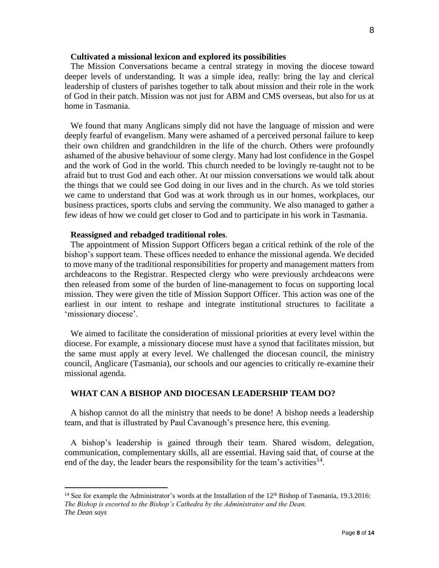#### **Cultivated a missional lexicon and explored its possibilities**

The Mission Conversations became a central strategy in moving the diocese toward deeper levels of understanding. It was a simple idea, really: bring the lay and clerical leadership of clusters of parishes together to talk about mission and their role in the work of God in their patch. Mission was not just for ABM and CMS overseas, but also for us at home in Tasmania.

We found that many Anglicans simply did not have the language of mission and were deeply fearful of evangelism. Many were ashamed of a perceived personal failure to keep their own children and grandchildren in the life of the church. Others were profoundly ashamed of the abusive behaviour of some clergy. Many had lost confidence in the Gospel and the work of God in the world. This church needed to be lovingly re-taught not to be afraid but to trust God and each other. At our mission conversations we would talk about the things that we could see God doing in our lives and in the church. As we told stories we came to understand that God was at work through us in our homes, workplaces, our business practices, sports clubs and serving the community. We also managed to gather a few ideas of how we could get closer to God and to participate in his work in Tasmania.

#### **Reassigned and rebadged traditional roles**.

 $\overline{a}$ 

The appointment of Mission Support Officers began a critical rethink of the role of the bishop's support team. These offices needed to enhance the missional agenda. We decided to move many of the traditional responsibilities for property and management matters from archdeacons to the Registrar. Respected clergy who were previously archdeacons were then released from some of the burden of line-management to focus on supporting local mission. They were given the title of Mission Support Officer. This action was one of the earliest in our intent to reshape and integrate institutional structures to facilitate a 'missionary diocese'.

We aimed to facilitate the consideration of missional priorities at every level within the diocese. For example, a missionary diocese must have a synod that facilitates mission, but the same must apply at every level. We challenged the diocesan council, the ministry council, Anglicare (Tasmania), our schools and our agencies to critically re-examine their missional agenda.

#### **WHAT CAN A BISHOP AND DIOCESAN LEADERSHIP TEAM DO?**

A bishop cannot do all the ministry that needs to be done! A bishop needs a leadership team, and that is illustrated by Paul Cavanough's presence here, this evening.

A bishop's leadership is gained through their team. Shared wisdom, delegation, communication, complementary skills, all are essential. Having said that, of course at the end of the day, the leader bears the responsibility for the team's activities<sup>14</sup>.

<sup>&</sup>lt;sup>14</sup> See for example the Administrator's words at the Installation of the 12<sup>th</sup> Bishop of Tasmania, 19.3.2016: *The Bishop is escorted to the Bishop's Cathedra by the Administrator and the Dean. The Dean says*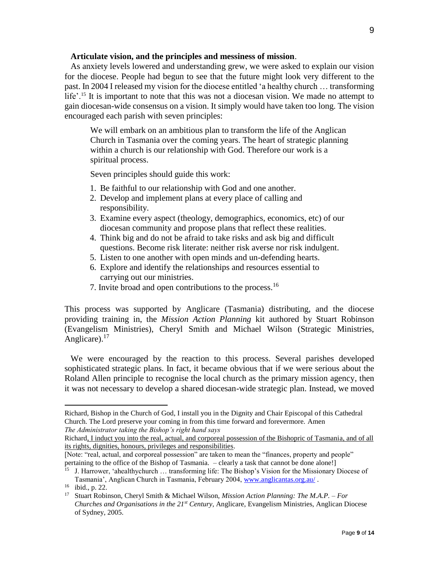#### **Articulate vision, and the principles and messiness of mission**.

As anxiety levels lowered and understanding grew, we were asked to explain our vision for the diocese. People had begun to see that the future might look very different to the past. In 2004 I released my vision for the diocese entitled 'a healthy church … transforming life'.<sup>15</sup> It is important to note that this was not a diocesan vision. We made no attempt to gain diocesan-wide consensus on a vision. It simply would have taken too long. The vision encouraged each parish with seven principles:

We will embark on an ambitious plan to transform the life of the Anglican Church in Tasmania over the coming years. The heart of strategic planning within a church is our relationship with God. Therefore our work is a spiritual process.

Seven principles should guide this work:

- 1. Be faithful to our relationship with God and one another.
- 2. Develop and implement plans at every place of calling and responsibility.
- 3. Examine every aspect (theology, demographics, economics, etc) of our diocesan community and propose plans that reflect these realities.
- 4. Think big and do not be afraid to take risks and ask big and difficult questions. Become risk literate: neither risk averse nor risk indulgent.
- 5. Listen to one another with open minds and un-defending hearts.
- 6. Explore and identify the relationships and resources essential to carrying out our ministries.
- 7. Invite broad and open contributions to the process.<sup>16</sup>

This process was supported by Anglicare (Tasmania) distributing, and the diocese providing training in, the *Mission Action Planning* kit authored by Stuart Robinson (Evangelism Ministries), Cheryl Smith and Michael Wilson (Strategic Ministries, Anglicare). $17$ 

We were encouraged by the reaction to this process. Several parishes developed sophisticated strategic plans. In fact, it became obvious that if we were serious about the Roland Allen principle to recognise the local church as the primary mission agency, then it was not necessary to develop a shared diocesan-wide strategic plan. Instead, we moved

Richard, Bishop in the Church of God, I install you in the Dignity and Chair Episcopal of this Cathedral Church. The Lord preserve your coming in from this time forward and forevermore. Amen *The Administrator taking the Bishop's right hand says* 

Richard, I induct you into the real, actual, and corporeal possession of the Bishopric of Tasmania, and of all its rights, dignities, honours, privileges and responsibilities.

<sup>[</sup>Note: "real, actual, and corporeal possession" are taken to mean the "finances, property and people" pertaining to the office of the Bishop of Tasmania. – clearly a task that cannot be done alone!]

<sup>15</sup> J. Harrower, 'ahealthychurch … transforming life: The Bishop's Vision for the Missionary Diocese of Tasmania', Anglican Church in Tasmania, February 2004, [www.anglicantas.org.au/](http://www.anglicantas.org.au/) .

<sup>16</sup> ibid., p. 22.

<sup>17</sup> Stuart Robinson, Cheryl Smith & Michael Wilson, *Mission Action Planning: The M.A.P. – For Churches and Organisations in the 21st Century*, Anglicare, Evangelism Ministries, Anglican Diocese of Sydney, 2005.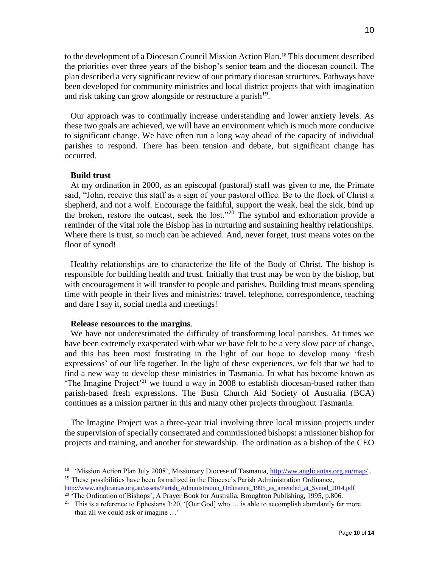to the development of a Diocesan Council Mission Action Plan.<sup>18</sup> This document described the priorities over three years of the bishop's senior team and the diocesan council. The plan described a very significant review of our primary diocesan structures. Pathways have been developed for community ministries and local district projects that with imagination and risk taking can grow alongside or restructure a parish<sup>19</sup>.

Our approach was to continually increase understanding and lower anxiety levels. As these two goals are achieved, we will have an environment which is much more conducive to significant change. We have often run a long way ahead of the capacity of individual parishes to respond. There has been tension and debate, but significant change has occurred.

#### **Build trust**

 $\overline{a}$ 

At my ordination in 2000, as an episcopal (pastoral) staff was given to me, the Primate said, "John, receive this staff as a sign of your pastoral office. Be to the flock of Christ a shepherd, and not a wolf. Encourage the faithful, support the weak, heal the sick, bind up the broken, restore the outcast, seek the lost."<sup>20</sup> The symbol and exhortation provide a reminder of the vital role the Bishop has in nurturing and sustaining healthy relationships. Where there is trust, so much can be achieved. And, never forget, trust means votes on the floor of synod!

Healthy relationships are to characterize the life of the Body of Christ. The bishop is responsible for building health and trust. Initially that trust may be won by the bishop, but with encouragement it will transfer to people and parishes. Building trust means spending time with people in their lives and ministries: travel, telephone, correspondence, teaching and dare I say it, social media and meetings!

#### **Release resources to the margins**.

We have not underestimated the difficulty of transforming local parishes. At times we have been extremely exasperated with what we have felt to be a very slow pace of change, and this has been most frustrating in the light of our hope to develop many 'fresh expressions' of our life together. In the light of these experiences, we felt that we had to find a new way to develop these ministries in Tasmania. In what has become known as 'The Imagine Project'<sup>21</sup> we found a way in 2008 to establish diocesan-based rather than parish-based fresh expressions. The Bush Church Aid Society of Australia (BCA) continues as a mission partner in this and many other projects throughout Tasmania.

The Imagine Project was a three-year trial involving three local mission projects under the supervision of specially consecrated and commissioned bishops: a missioner bishop for projects and training, and another for stewardship. The ordination as a bishop of the CEO

<sup>&</sup>lt;sup>18</sup> 'Mission Action Plan July 2008', Missionary Diocese of Tasmania[, http://ww.anglicantas.org.au/map/](http://ww.anglicantas.org.au/map/). <sup>19</sup> These possibilities have been formalized in the Diocese's Parish Administration Ordinance, [http://www.anglicantas.org.au/assets/Parish\\_Administration\\_Ordinance\\_1995\\_as\\_amended\\_at\\_Synod\\_2014.pdf](http://www.anglicantas.org.au/assets/Parish_Administration_Ordinance_1995_as_amended_at_Synod_2014.pdf) 

<sup>&</sup>lt;sup>20</sup> 'The Ordination of Bishops', A Prayer Book for Australia, Broughton Publishing, 1995, p.806.

<sup>&</sup>lt;sup>21</sup> This is a reference to Ephesians 3:20, '[Our God] who  $\ldots$  is able to accomplish abundantly far more than all we could ask or imagine …'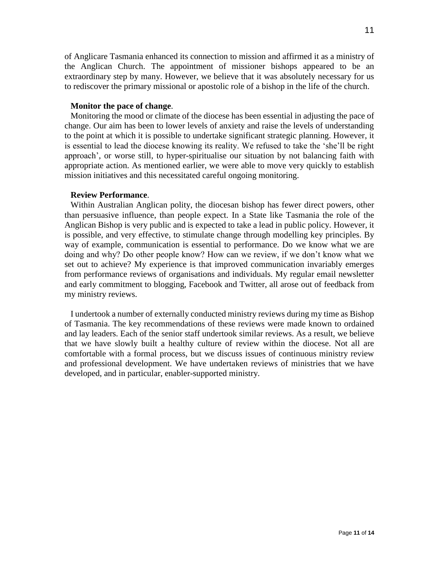of Anglicare Tasmania enhanced its connection to mission and affirmed it as a ministry of the Anglican Church. The appointment of missioner bishops appeared to be an extraordinary step by many. However, we believe that it was absolutely necessary for us to rediscover the primary missional or apostolic role of a bishop in the life of the church.

#### **Monitor the pace of change**.

Monitoring the mood or climate of the diocese has been essential in adjusting the pace of change. Our aim has been to lower levels of anxiety and raise the levels of understanding to the point at which it is possible to undertake significant strategic planning. However, it is essential to lead the diocese knowing its reality. We refused to take the 'she'll be right approach', or worse still, to hyper-spiritualise our situation by not balancing faith with appropriate action. As mentioned earlier, we were able to move very quickly to establish mission initiatives and this necessitated careful ongoing monitoring.

## **Review Performance**.

Within Australian Anglican polity, the diocesan bishop has fewer direct powers, other than persuasive influence, than people expect. In a State like Tasmania the role of the Anglican Bishop is very public and is expected to take a lead in public policy. However, it is possible, and very effective, to stimulate change through modelling key principles. By way of example, communication is essential to performance. Do we know what we are doing and why? Do other people know? How can we review, if we don't know what we set out to achieve? My experience is that improved communication invariably emerges from performance reviews of organisations and individuals. My regular email newsletter and early commitment to blogging, Facebook and Twitter, all arose out of feedback from my ministry reviews.

I undertook a number of externally conducted ministry reviews during my time as Bishop of Tasmania. The key recommendations of these reviews were made known to ordained and lay leaders. Each of the senior staff undertook similar reviews. As a result, we believe that we have slowly built a healthy culture of review within the diocese. Not all are comfortable with a formal process, but we discuss issues of continuous ministry review and professional development. We have undertaken reviews of ministries that we have developed, and in particular, enabler-supported ministry.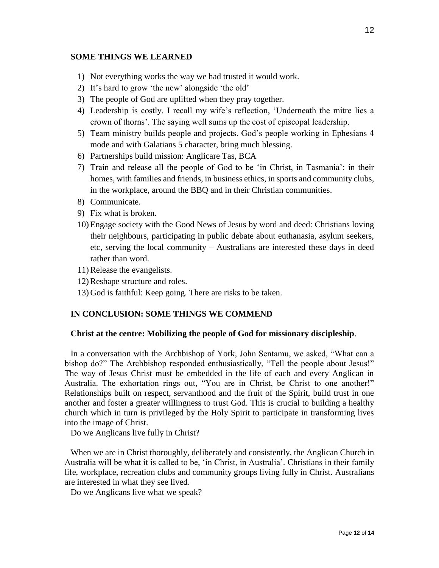#### **SOME THINGS WE LEARNED**

- 1) Not everything works the way we had trusted it would work.
- 2) It's hard to grow 'the new' alongside 'the old'
- 3) The people of God are uplifted when they pray together.
- 4) Leadership is costly. I recall my wife's reflection, 'Underneath the mitre lies a crown of thorns'. The saying well sums up the cost of episcopal leadership.
- 5) Team ministry builds people and projects. God's people working in Ephesians 4 mode and with Galatians 5 character, bring much blessing.
- 6) Partnerships build mission: Anglicare Tas, BCA
- 7) Train and release all the people of God to be 'in Christ, in Tasmania': in their homes, with families and friends, in business ethics, in sports and community clubs, in the workplace, around the BBQ and in their Christian communities.
- 8) Communicate.
- 9) Fix what is broken.
- 10) Engage society with the Good News of Jesus by word and deed: Christians loving their neighbours, participating in public debate about euthanasia, asylum seekers, etc, serving the local community – Australians are interested these days in deed rather than word.
- 11) Release the evangelists.
- 12) Reshape structure and roles.
- 13) God is faithful: Keep going. There are risks to be taken.

## **IN CONCLUSION: SOME THINGS WE COMMEND**

#### **Christ at the centre: Mobilizing the people of God for missionary discipleship**.

In a conversation with the Archbishop of York, John Sentamu, we asked, "What can a bishop do?" The Archbishop responded enthusiastically, "Tell the people about Jesus!" The way of Jesus Christ must be embedded in the life of each and every Anglican in Australia. The exhortation rings out, "You are in Christ, be Christ to one another!" Relationships built on respect, servanthood and the fruit of the Spirit, build trust in one another and foster a greater willingness to trust God. This is crucial to building a healthy church which in turn is privileged by the Holy Spirit to participate in transforming lives into the image of Christ.

Do we Anglicans live fully in Christ?

When we are in Christ thoroughly, deliberately and consistently, the Anglican Church in Australia will be what it is called to be, 'in Christ, in Australia'. Christians in their family life, workplace, recreation clubs and community groups living fully in Christ. Australians are interested in what they see lived.

Do we Anglicans live what we speak?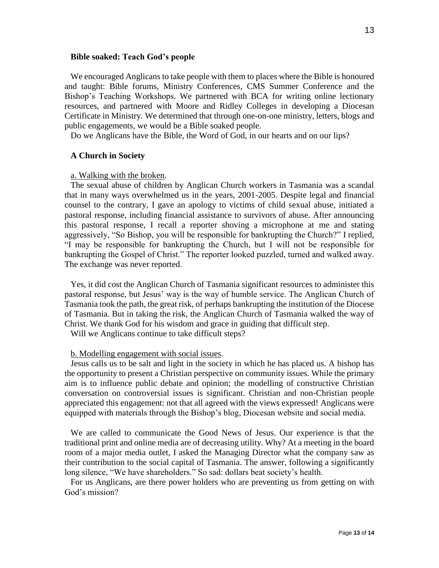#### **Bible soaked: Teach God's people**

We encouraged Anglicans to take people with them to places where the Bible is honoured and taught: Bible forums, Ministry Conferences, CMS Summer Conference and the Bishop's Teaching Workshops. We partnered with BCA for writing online lectionary resources, and partnered with Moore and Ridley Colleges in developing a Diocesan Certificate in Ministry. We determined that through one-on-one ministry, letters, blogs and public engagements, we would be a Bible soaked people.

Do we Anglicans have the Bible, the Word of God, in our hearts and on our lips?

#### **A Church in Society**

#### a. Walking with the broken.

The sexual abuse of children by Anglican Church workers in Tasmania was a scandal that in many ways overwhelmed us in the years, 2001-2005. Despite legal and financial counsel to the contrary, I gave an apology to victims of child sexual abuse, initiated a pastoral response, including financial assistance to survivors of abuse. After announcing this pastoral response, I recall a reporter shoving a microphone at me and stating aggressively, "So Bishop, you will be responsible for bankrupting the Church?" I replied, "I may be responsible for bankrupting the Church, but I will not be responsible for bankrupting the Gospel of Christ." The reporter looked puzzled, turned and walked away. The exchange was never reported.

Yes, it did cost the Anglican Church of Tasmania significant resources to administer this pastoral response, but Jesus' way is the way of humble service. The Anglican Church of Tasmania took the path, the great risk, of perhaps bankrupting the institution of the Diocese of Tasmania. But in taking the risk, the Anglican Church of Tasmania walked the way of Christ. We thank God for his wisdom and grace in guiding that difficult step.

Will we Anglicans continue to take difficult steps?

#### b. Modelling engagement with social issues.

Jesus calls us to be salt and light in the society in which he has placed us. A bishop has the opportunity to present a Christian perspective on community issues. While the primary aim is to influence public debate and opinion; the modelling of constructive Christian conversation on controversial issues is significant. Christian and non-Christian people appreciated this engagement: not that all agreed with the views expressed! Anglicans were equipped with materials through the Bishop's blog, Diocesan website and social media.

We are called to communicate the Good News of Jesus. Our experience is that the traditional print and online media are of decreasing utility. Why? At a meeting in the board room of a major media outlet, I asked the Managing Director what the company saw as their contribution to the social capital of Tasmania. The answer, following a significantly long silence, "We have shareholders." So sad: dollars beat society's health.

For us Anglicans, are there power holders who are preventing us from getting on with God's mission?